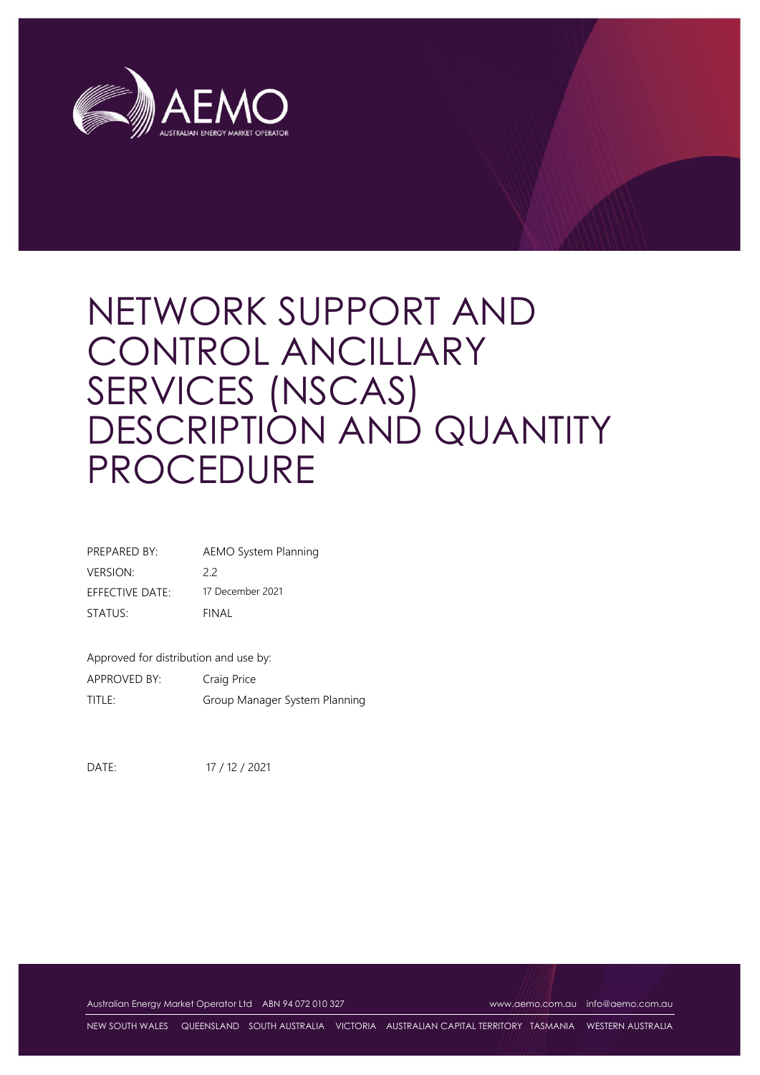

| PREPARED BY:    | <b>AEMO System Planning</b> |
|-----------------|-----------------------------|
| VERSION:        | 22                          |
| EFFECTIVE DATE: | 17 December 2021            |
| STATUS:         | FINAL                       |
|                 |                             |

Approved for distribution and use by:

APPROVED BY: Craig Price TITLE: Group Manager System Planning

DATE: 17 / 12 / 2021

Australian Energy Market Operator Ltd ABN 94 072 010 327 [www.aemo.com.au](http://www.aemo.com.au/) [info@aemo.com.au](mailto:info@aemo.com.au)

NEW SOUTH WALES QUEENSLAND SOUTH AUSTRALIA VICTORIA AUSTRALIAN CAPITAL TERRITORY TASMANIA WESTERN AUSTRALIA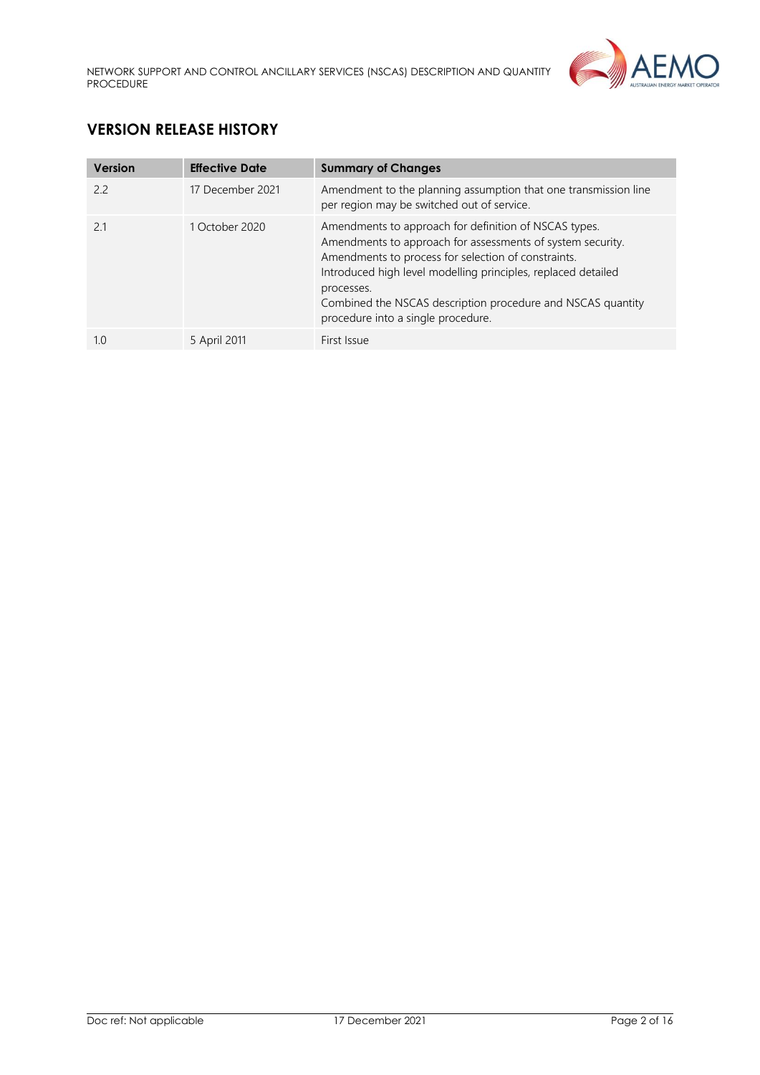

# **VERSION RELEASE HISTORY**

| Version | <b>Effective Date</b> | <b>Summary of Changes</b>                                                                                                                                                                                                                                                                                                                                      |
|---------|-----------------------|----------------------------------------------------------------------------------------------------------------------------------------------------------------------------------------------------------------------------------------------------------------------------------------------------------------------------------------------------------------|
| 22      | 17 December 2021      | Amendment to the planning assumption that one transmission line<br>per region may be switched out of service.                                                                                                                                                                                                                                                  |
| 2.1     | 1 October 2020        | Amendments to approach for definition of NSCAS types.<br>Amendments to approach for assessments of system security.<br>Amendments to process for selection of constraints.<br>Introduced high level modelling principles, replaced detailed<br>processes.<br>Combined the NSCAS description procedure and NSCAS quantity<br>procedure into a single procedure. |
| 1.0     | 5 April 2011          | First Issue                                                                                                                                                                                                                                                                                                                                                    |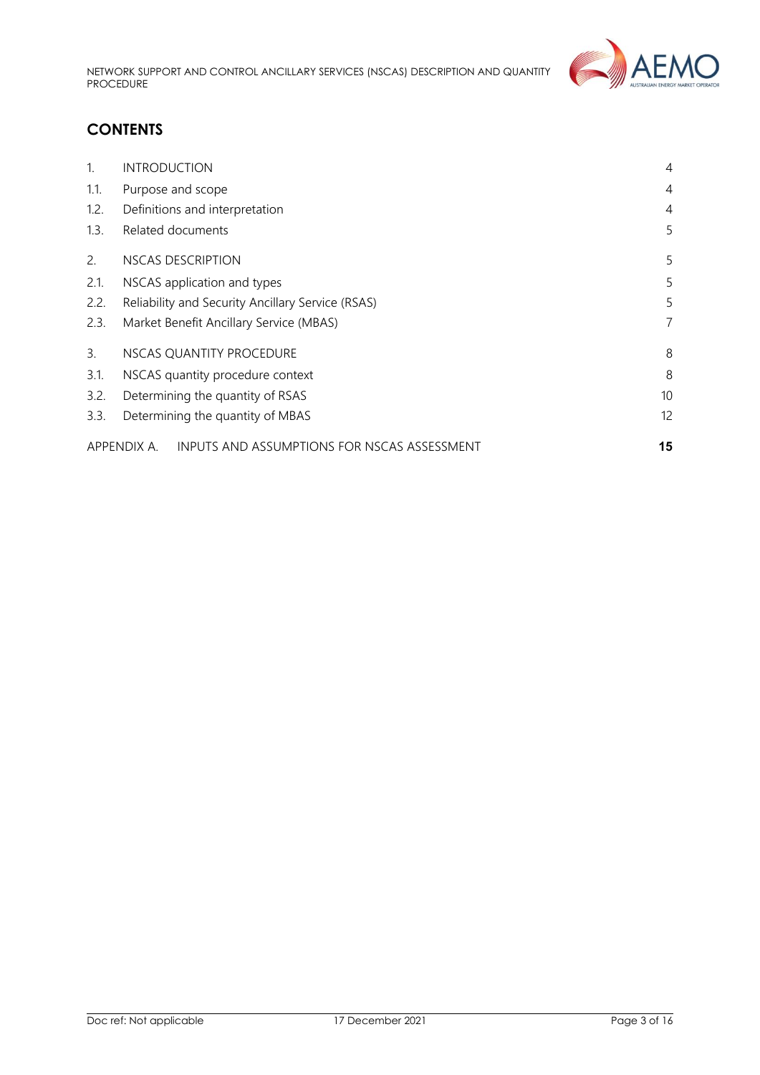

# **CONTENTS**

| $\mathbf{1}$ . | <b>INTRODUCTION</b>                                        | $\overline{4}$ |  |
|----------------|------------------------------------------------------------|----------------|--|
| 1.1.           | Purpose and scope                                          | $\overline{4}$ |  |
| 1.2.           | Definitions and interpretation                             | 4              |  |
| 1.3.           | Related documents                                          | 5              |  |
| 2.             | NSCAS DESCRIPTION                                          | 5              |  |
| 2.1.           | NSCAS application and types                                |                |  |
| 2.2.           | Reliability and Security Ancillary Service (RSAS)          |                |  |
| 2.3.           | Market Benefit Ancillary Service (MBAS)                    | 7              |  |
| 3.             | NSCAS QUANTITY PROCEDURE                                   | 8              |  |
| 3.1.           | 8<br>NSCAS quantity procedure context                      |                |  |
| 3.2.           | 10 <sup>°</sup><br>Determining the quantity of RSAS        |                |  |
| 3.3.           | Determining the quantity of MBAS                           |                |  |
|                | INPUTS AND ASSUMPTIONS FOR NSCAS ASSESSMENT<br>APPENDIX A. | 15             |  |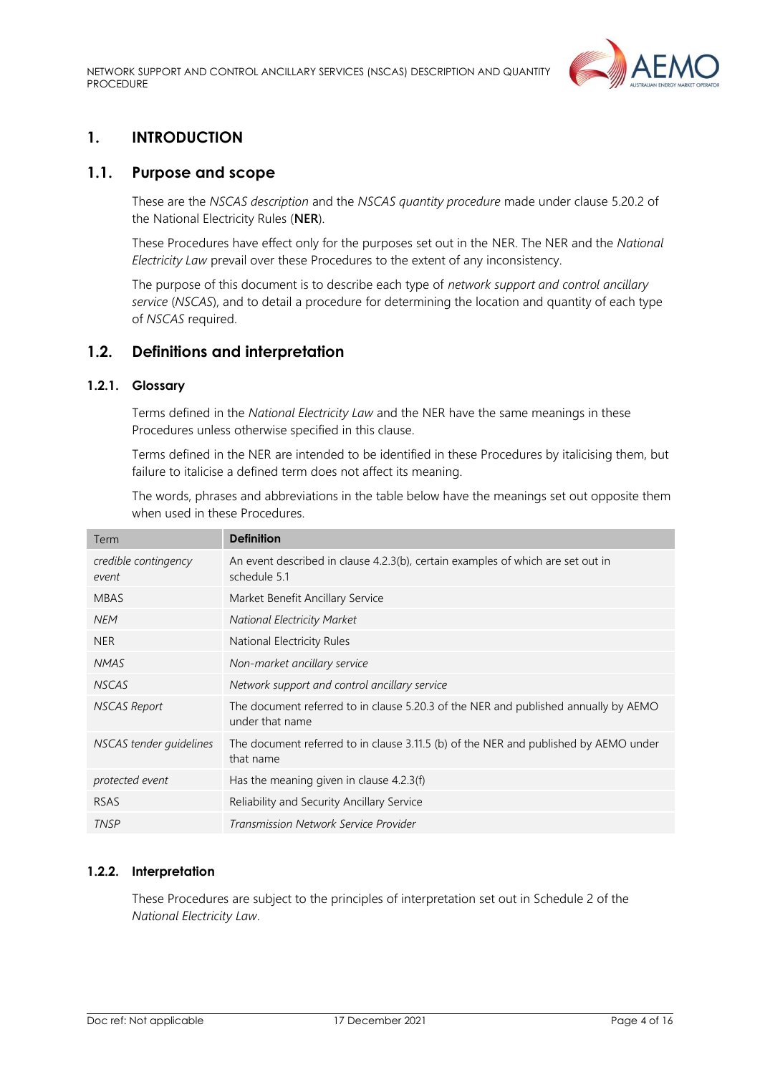

## <span id="page-3-0"></span>**1. INTRODUCTION**

## <span id="page-3-1"></span>**1.1. Purpose and scope**

These are the *NSCAS description* and the *NSCAS quantity procedure* made under clause 5.20.2 of the National Electricity Rules (**NER**).

These Procedures have effect only for the purposes set out in the NER. The NER and the *National Electricity Law* prevail over these Procedures to the extent of any inconsistency.

The purpose of this document is to describe each type of *network support and control ancillary service* (*NSCAS*), and to detail a procedure for determining the location and quantity of each type of *NSCAS* required.

## <span id="page-3-2"></span>**1.2. Definitions and interpretation**

## **1.2.1. Glossary**

Terms defined in the *National Electricity Law* and the NER have the same meanings in these Procedures unless otherwise specified in this clause.

Terms defined in the NER are intended to be identified in these Procedures by italicising them, but failure to italicise a defined term does not affect its meaning.

The words, phrases and abbreviations in the table below have the meanings set out opposite them when used in these Procedures.

| Term                          | <b>Definition</b>                                                                                      |
|-------------------------------|--------------------------------------------------------------------------------------------------------|
| credible contingency<br>event | An event described in clause 4.2.3(b), certain examples of which are set out in<br>schedule 5.1        |
| <b>MBAS</b>                   | Market Benefit Ancillary Service                                                                       |
| <b>NEM</b>                    | <b>National Electricity Market</b>                                                                     |
| <b>NER</b>                    | National Electricity Rules                                                                             |
| <b>NMAS</b>                   | Non-market ancillary service                                                                           |
| <b>NSCAS</b>                  | Network support and control ancillary service                                                          |
| <b>NSCAS Report</b>           | The document referred to in clause 5.20.3 of the NER and published annually by AEMO<br>under that name |
| NSCAS tender quidelines       | The document referred to in clause 3.11.5 (b) of the NER and published by AEMO under<br>that name      |
| protected event               | Has the meaning given in clause 4.2.3(f)                                                               |
| <b>RSAS</b>                   | Reliability and Security Ancillary Service                                                             |
| <b>TNSP</b>                   | Transmission Network Service Provider                                                                  |

#### **1.2.2. Interpretation**

These Procedures are subject to the principles of interpretation set out in Schedule 2 of the *National Electricity Law*.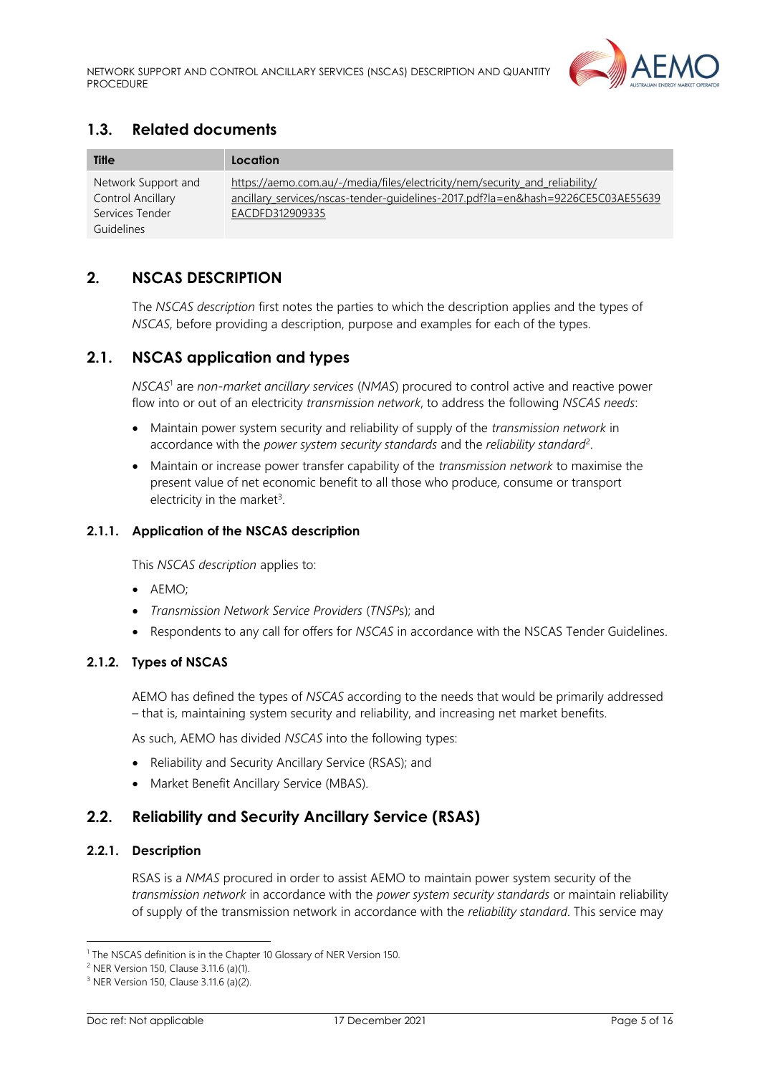

## <span id="page-4-0"></span>**1.3. Related documents**

| Title                                                                     | Location                                                                                                                                                                           |
|---------------------------------------------------------------------------|------------------------------------------------------------------------------------------------------------------------------------------------------------------------------------|
| Network Support and<br>Control Ancillary<br>Services Tender<br>Guidelines | https://aemo.com.au/-/media/files/electricity/nem/security and reliability/<br>ancillary services/nscas-tender-guidelines-2017.pdf?la=en&hash=9226CE5C03AE55639<br>EACDFD312909335 |

## <span id="page-4-1"></span>**2. NSCAS DESCRIPTION**

The *NSCAS description* first notes the parties to which the description applies and the types of *NSCAS*, before providing a description, purpose and examples for each of the types.

## <span id="page-4-2"></span>**2.1. NSCAS application and types**

*NSCAS*<sup>1</sup> are *non-market ancillary services* (*NMAS*) procured to control active and reactive power flow into or out of an electricity *transmission network*, to address the following *NSCAS needs*:

- Maintain power system security and reliability of supply of the *transmission network* in accordance with the *power system security standards* and the *reliability standard*<sup>2</sup> .
- Maintain or increase power transfer capability of the *transmission network* to maximise the present value of net economic benefit to all those who produce, consume or transport electricity in the market<sup>3</sup>.

#### **2.1.1. Application of the NSCAS description**

This *NSCAS description* applies to:

- AEMO;
- *Transmission Network Service Providers* (*TNSP*s); and
- Respondents to any call for offers for *NSCAS* in accordance with the NSCAS Tender Guidelines.

### **2.1.2. Types of NSCAS**

AEMO has defined the types of *NSCAS* according to the needs that would be primarily addressed – that is, maintaining system security and reliability, and increasing net market benefits.

As such, AEMO has divided *NSCAS* into the following types:

- Reliability and Security Ancillary Service (RSAS); and
- Market Benefit Ancillary Service (MBAS).

## <span id="page-4-3"></span>**2.2. Reliability and Security Ancillary Service (RSAS)**

#### **2.2.1. Description**

RSAS is a *NMAS* procured in order to assist AEMO to maintain power system security of the *transmission network* in accordance with the *power system security standards* or maintain reliability of supply of the transmission network in accordance with the *reliability standard*. This service may

<sup>&</sup>lt;sup>1</sup> The NSCAS definition is in the Chapter 10 Glossary of NER Version 150.

<sup>2</sup> NER Version 150, Clause 3.11.6 (a)(1).

<sup>3</sup> NER Version 150, Clause 3.11.6 (a)(2).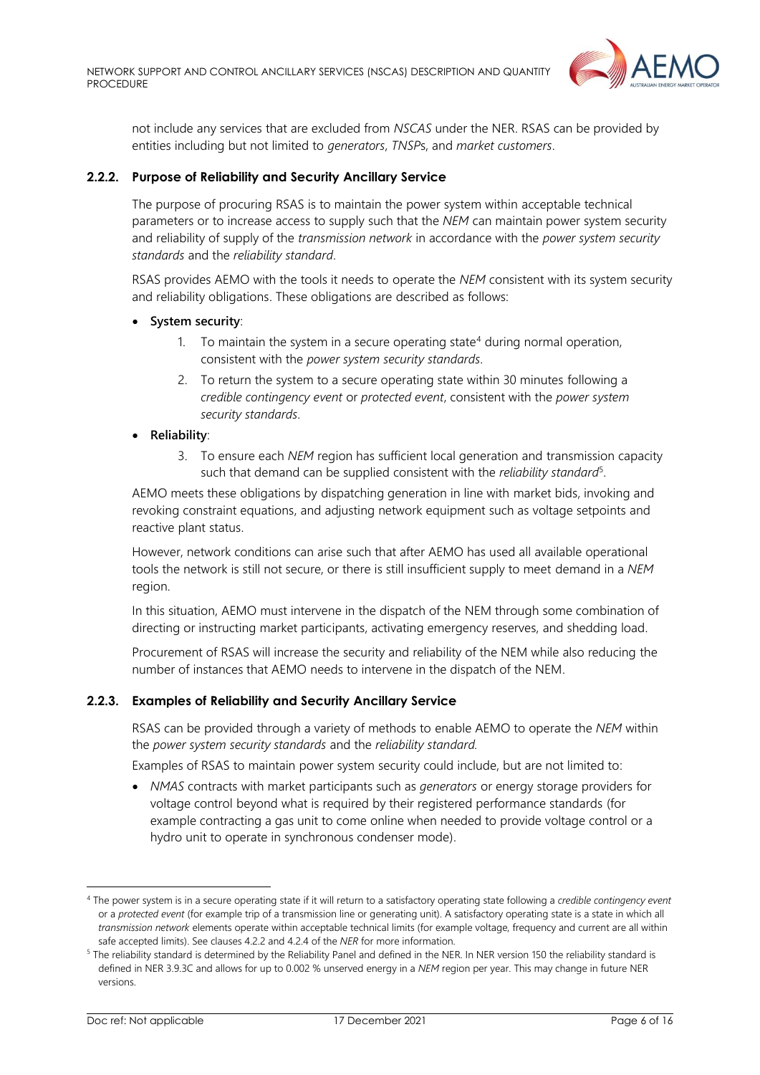

not include any services that are excluded from *NSCAS* under the NER. RSAS can be provided by entities including but not limited to *generators*, *TNSP*s, and *market customers*.

#### **2.2.2. Purpose of Reliability and Security Ancillary Service**

The purpose of procuring RSAS is to maintain the power system within acceptable technical parameters or to increase access to supply such that the *NEM* can maintain power system security and reliability of supply of the *transmission network* in accordance with the *power system security standards* and the *reliability standard*.

RSAS provides AEMO with the tools it needs to operate the *NEM* consistent with its system security and reliability obligations. These obligations are described as follows:

- **System security**:
	- 1. To maintain the system in a secure operating state<sup>4</sup> during normal operation, consistent with the *power system security standards*.
	- 2. To return the system to a secure operating state within 30 minutes following a *credible contingency event* or *protected event*, consistent with the *power system security standards*.

#### • **Reliability**:

3. To ensure each *NEM* region has sufficient local generation and transmission capacity such that demand can be supplied consistent with the *reliability standard*<sup>5</sup> .

AEMO meets these obligations by dispatching generation in line with market bids, invoking and revoking constraint equations, and adjusting network equipment such as voltage setpoints and reactive plant status.

However, network conditions can arise such that after AEMO has used all available operational tools the network is still not secure, or there is still insufficient supply to meet demand in a *NEM* region.

In this situation, AEMO must intervene in the dispatch of the NEM through some combination of directing or instructing market participants, activating emergency reserves, and shedding load.

Procurement of RSAS will increase the security and reliability of the NEM while also reducing the number of instances that AEMO needs to intervene in the dispatch of the NEM.

#### **2.2.3. Examples of Reliability and Security Ancillary Service**

RSAS can be provided through a variety of methods to enable AEMO to operate the *NEM* within the *power system security standards* and the *reliability standard.*

Examples of RSAS to maintain power system security could include, but are not limited to:

• *NMAS* contracts with market participants such as *generators* or energy storage providers for voltage control beyond what is required by their registered performance standards (for example contracting a gas unit to come online when needed to provide voltage control or a hydro unit to operate in synchronous condenser mode).

<sup>4</sup> The power system is in a secure operating state if it will return to a satisfactory operating state following a *credible contingency event* or a *protected event* (for example trip of a transmission line or generating unit). A satisfactory operating state is a state in which all *transmission network* elements operate within acceptable technical limits (for example voltage, frequency and current are all within safe accepted limits). See clauses 4.2.2 and 4.2.4 of the *NER* for more information.

<sup>&</sup>lt;sup>5</sup> The reliability standard is determined by the Reliability Panel and defined in the NER. In NER version 150 the reliability standard is defined in NER 3.9.3C and allows for up to 0.002 % unserved energy in a *NEM* region per year. This may change in future NER versions.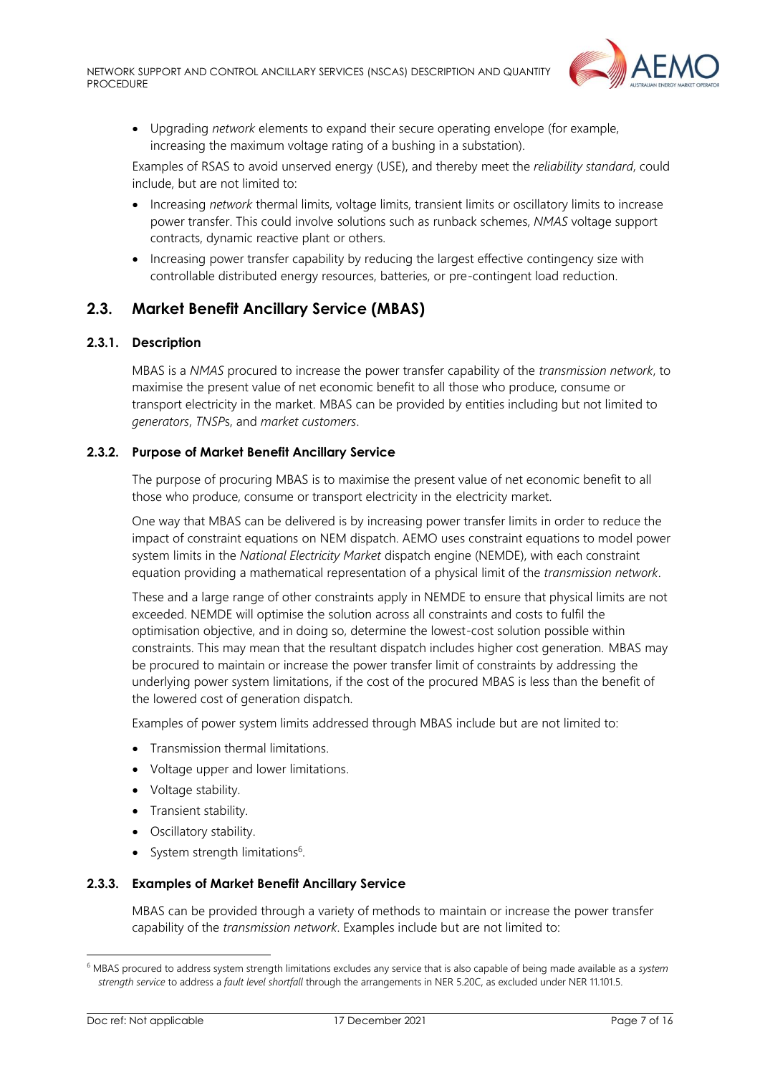

• Upgrading *network* elements to expand their secure operating envelope (for example, increasing the maximum voltage rating of a bushing in a substation).

Examples of RSAS to avoid unserved energy (USE), and thereby meet the *reliability standard*, could include, but are not limited to:

- Increasing *network* thermal limits, voltage limits, transient limits or oscillatory limits to increase power transfer. This could involve solutions such as runback schemes, *NMAS* voltage support contracts, dynamic reactive plant or others.
- Increasing power transfer capability by reducing the largest effective contingency size with controllable distributed energy resources, batteries, or pre-contingent load reduction.

## <span id="page-6-0"></span>**2.3. Market Benefit Ancillary Service (MBAS)**

#### **2.3.1. Description**

MBAS is a *NMAS* procured to increase the power transfer capability of the *transmission network*, to maximise the present value of net economic benefit to all those who produce, consume or transport electricity in the market. MBAS can be provided by entities including but not limited to *generators*, *TNSP*s, and *market customers*.

#### **2.3.2. Purpose of Market Benefit Ancillary Service**

The purpose of procuring MBAS is to maximise the present value of net economic benefit to all those who produce, consume or transport electricity in the electricity market.

One way that MBAS can be delivered is by increasing power transfer limits in order to reduce the impact of constraint equations on NEM dispatch. AEMO uses constraint equations to model power system limits in the *National Electricity Market* dispatch engine (NEMDE), with each constraint equation providing a mathematical representation of a physical limit of the *transmission network*.

These and a large range of other constraints apply in NEMDE to ensure that physical limits are not exceeded. NEMDE will optimise the solution across all constraints and costs to fulfil the optimisation objective, and in doing so, determine the lowest-cost solution possible within constraints. This may mean that the resultant dispatch includes higher cost generation. MBAS may be procured to maintain or increase the power transfer limit of constraints by addressing the underlying power system limitations, if the cost of the procured MBAS is less than the benefit of the lowered cost of generation dispatch.

Examples of power system limits addressed through MBAS include but are not limited to:

- Transmission thermal limitations.
- Voltage upper and lower limitations.
- Voltage stability.
- Transient stability.
- Oscillatory stability.
- System strength limitations<sup>6</sup>.

#### **2.3.3. Examples of Market Benefit Ancillary Service**

MBAS can be provided through a variety of methods to maintain or increase the power transfer capability of the *transmission network*. Examples include but are not limited to:

<sup>6</sup> MBAS procured to address system strength limitations excludes any service that is also capable of being made available as a *system strength service* to address a *fault level shortfall* through the arrangements in NER 5.20C, as excluded under NER 11.101.5.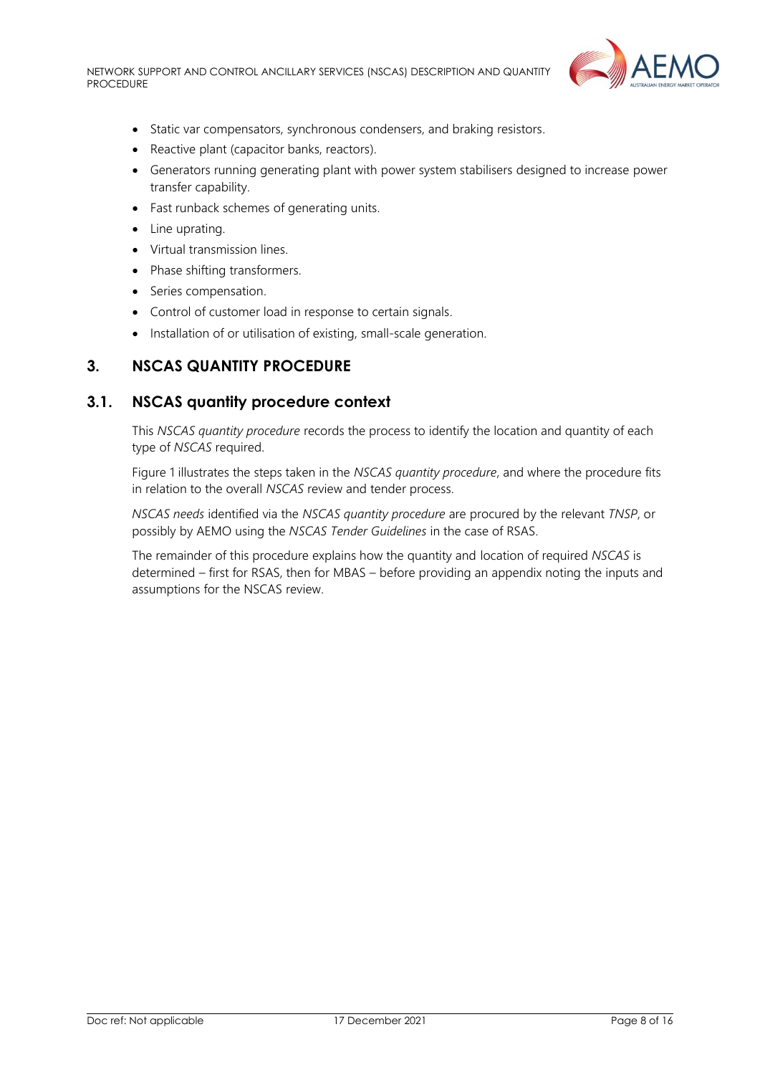

- Static var compensators, synchronous condensers, and braking resistors.
- Reactive plant (capacitor banks, reactors).
- Generators running generating plant with power system stabilisers designed to increase power transfer capability.
- Fast runback schemes of generating units.
- Line uprating.
- Virtual transmission lines.
- Phase shifting transformers.
- Series compensation.
- Control of customer load in response to certain signals.
- Installation of or utilisation of existing, small-scale generation.

## <span id="page-7-0"></span>**3. NSCAS QUANTITY PROCEDURE**

## <span id="page-7-1"></span>**3.1. NSCAS quantity procedure context**

This *NSCAS quantity procedure* records the process to identify the location and quantity of each type of *NSCAS* required.

[Figure 1](#page-7-2) illustrates the steps taken in the *NSCAS quantity procedure*, and where the procedure fits in relation to the overall *NSCAS* review and tender process.

*NSCAS needs* identified via the *NSCAS quantity procedure* are procured by the relevant *TNSP*, or possibly by AEMO using the *NSCAS Tender Guidelines* in the case of RSAS.

<span id="page-7-2"></span>The remainder of this procedure explains how the quantity and location of required *NSCAS* is determined – first for RSAS, then for MBAS – before providing an appendix noting the inputs and assumptions for the NSCAS review.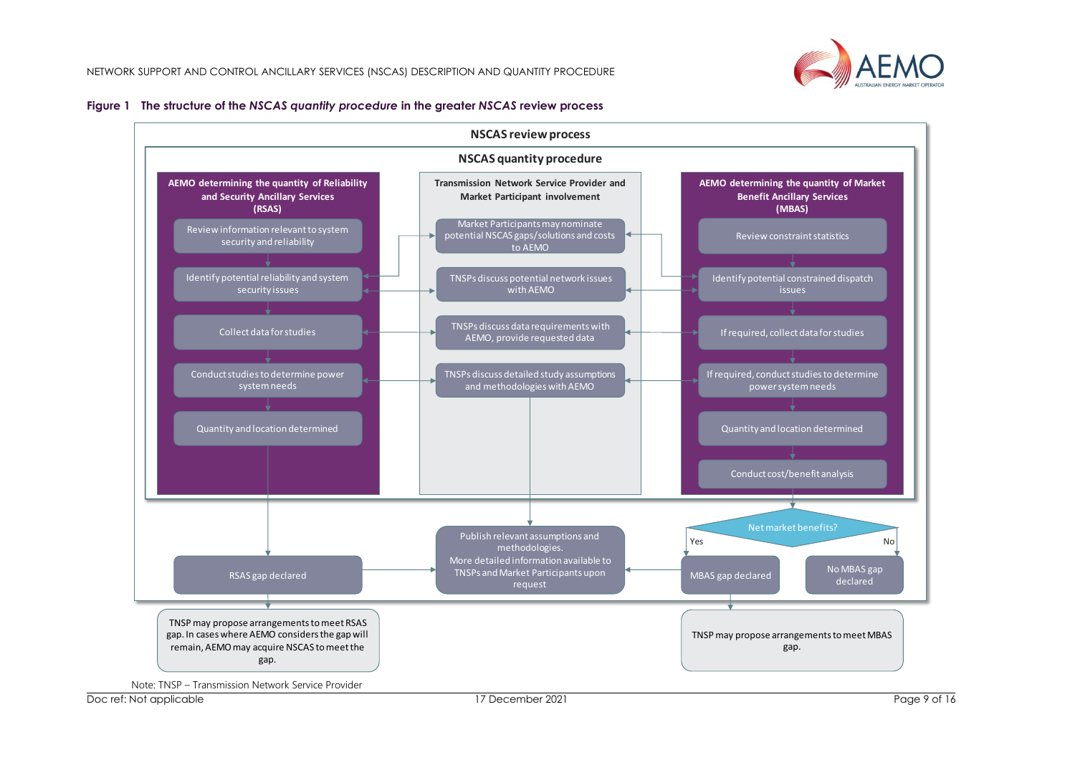



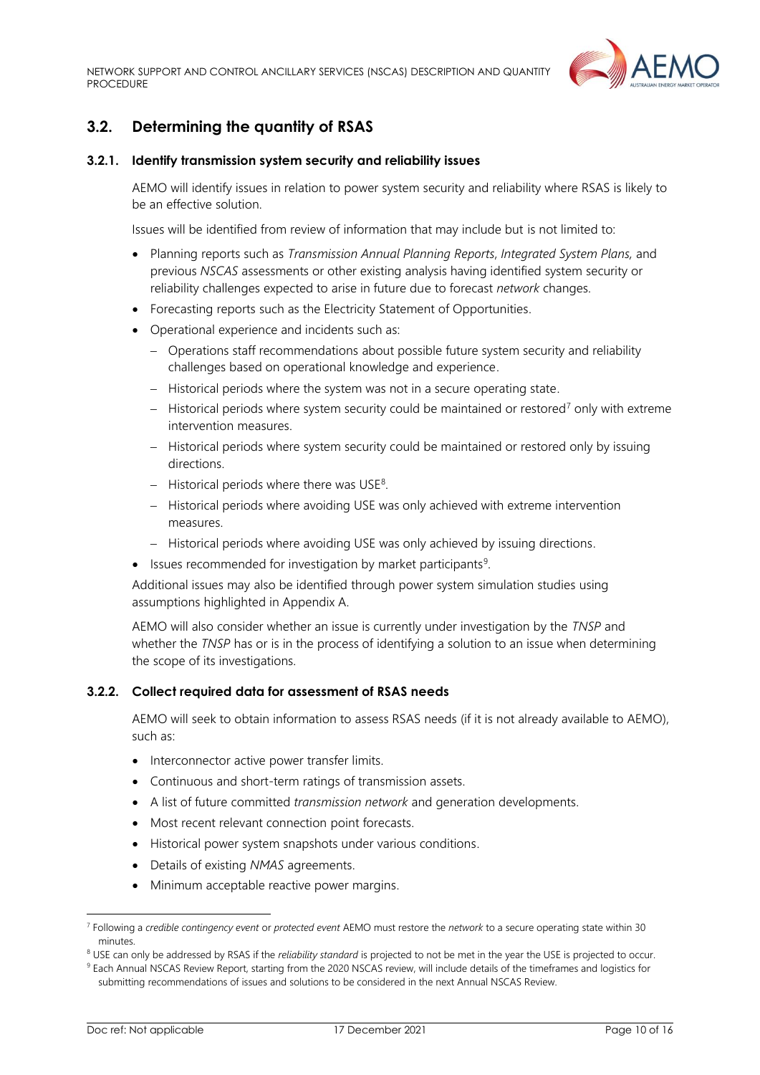

# <span id="page-9-0"></span>**3.2. Determining the quantity of RSAS**

#### **3.2.1. Identify transmission system security and reliability issues**

AEMO will identify issues in relation to power system security and reliability where RSAS is likely to be an effective solution.

Issues will be identified from review of information that may include but is not limited to:

- Planning reports such as *Transmission Annual Planning Reports*, *Integrated System Plans,* and previous *NSCAS* assessments or other existing analysis having identified system security or reliability challenges expected to arise in future due to forecast *network* changes.
- Forecasting reports such as the Electricity Statement of Opportunities.
- Operational experience and incidents such as:
	- − Operations staff recommendations about possible future system security and reliability challenges based on operational knowledge and experience.
	- − Historical periods where the system was not in a secure operating state.
	- − Historical periods where system security could be maintained or restored<sup>7</sup> only with extreme intervention measures.
	- − Historical periods where system security could be maintained or restored only by issuing directions.
	- − Historical periods where there was USE<sup>8</sup>.
	- − Historical periods where avoiding USE was only achieved with extreme intervention measures.
	- − Historical periods where avoiding USE was only achieved by issuing directions.
- Issues recommended for investigation by market participants<sup>9</sup>.

Additional issues may also be identified through power system simulation studies using assumptions highlighted in Appendix A.

AEMO will also consider whether an issue is currently under investigation by the *TNSP* and whether the *TNSP* has or is in the process of identifying a solution to an issue when determining the scope of its investigations.

#### <span id="page-9-1"></span>**3.2.2. Collect required data for assessment of RSAS needs**

AEMO will seek to obtain information to assess RSAS needs (if it is not already available to AEMO), such as:

- Interconnector active power transfer limits.
- Continuous and short-term ratings of transmission assets.
- A list of future committed *transmission network* and generation developments.
- Most recent relevant connection point forecasts.
- Historical power system snapshots under various conditions.
- Details of existing *NMAS* agreements.
- Minimum acceptable reactive power margins.

<sup>7</sup> Following a *credible contingency event* or *protected event* AEMO must restore the *network* to a secure operating state within 30 minutes.

<sup>&</sup>lt;sup>8</sup> USE can only be addressed by RSAS if the *reliability standard* is projected to not be met in the year the USE is projected to occur.

<sup>9</sup> Each Annual NSCAS Review Report, starting from the 2020 NSCAS review, will include details of the timeframes and logistics for submitting recommendations of issues and solutions to be considered in the next Annual NSCAS Review.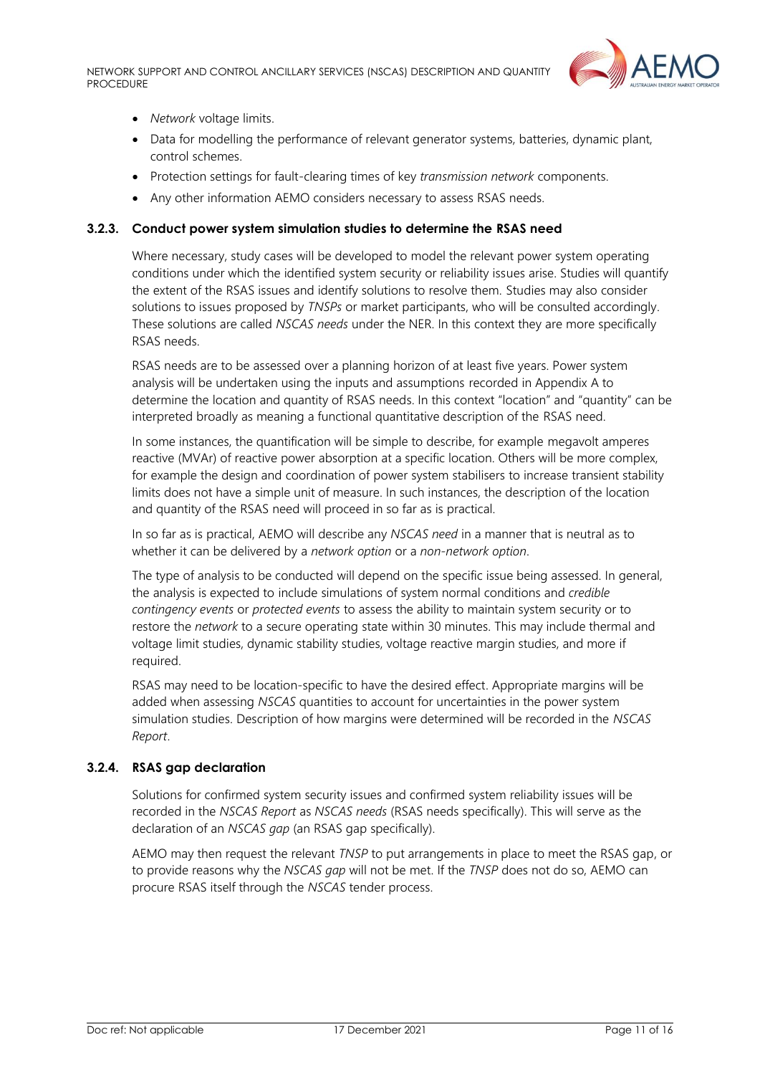

- *Network* voltage limits.
- Data for modelling the performance of relevant generator systems, batteries, dynamic plant, control schemes.
- Protection settings for fault-clearing times of key *transmission network* components.
- Any other information AEMO considers necessary to assess RSAS needs.

#### **3.2.3. Conduct power system simulation studies to determine the RSAS need**

Where necessary, study cases will be developed to model the relevant power system operating conditions under which the identified system security or reliability issues arise. Studies will quantify the extent of the RSAS issues and identify solutions to resolve them. Studies may also consider solutions to issues proposed by *TNSPs* or market participants, who will be consulted accordingly. These solutions are called *NSCAS needs* under the NER. In this context they are more specifically RSAS needs.

RSAS needs are to be assessed over a planning horizon of at least five years. Power system analysis will be undertaken using the inputs and assumptions recorded in Appendix A to determine the location and quantity of RSAS needs. In this context "location" and "quantity" can be interpreted broadly as meaning a functional quantitative description of the RSAS need.

In some instances, the quantification will be simple to describe, for example megavolt amperes reactive (MVAr) of reactive power absorption at a specific location. Others will be more complex, for example the design and coordination of power system stabilisers to increase transient stability limits does not have a simple unit of measure. In such instances, the description of the location and quantity of the RSAS need will proceed in so far as is practical.

In so far as is practical, AEMO will describe any *NSCAS need* in a manner that is neutral as to whether it can be delivered by a *network option* or a *non-network option*.

The type of analysis to be conducted will depend on the specific issue being assessed. In general, the analysis is expected to include simulations of system normal conditions and *credible contingency events* or *protected events* to assess the ability to maintain system security or to restore the *network* to a secure operating state within 30 minutes. This may include thermal and voltage limit studies, dynamic stability studies, voltage reactive margin studies, and more if required.

RSAS may need to be location-specific to have the desired effect. Appropriate margins will be added when assessing *NSCAS* quantities to account for uncertainties in the power system simulation studies. Description of how margins were determined will be recorded in the *NSCAS Report*.

#### **3.2.4. RSAS gap declaration**

Solutions for confirmed system security issues and confirmed system reliability issues will be recorded in the *NSCAS Report* as *NSCAS needs* (RSAS needs specifically). This will serve as the declaration of an *NSCAS gap* (an RSAS gap specifically).

AEMO may then request the relevant *TNSP* to put arrangements in place to meet the RSAS gap, or to provide reasons why the *NSCAS gap* will not be met. If the *TNSP* does not do so, AEMO can procure RSAS itself through the *NSCAS* tender process.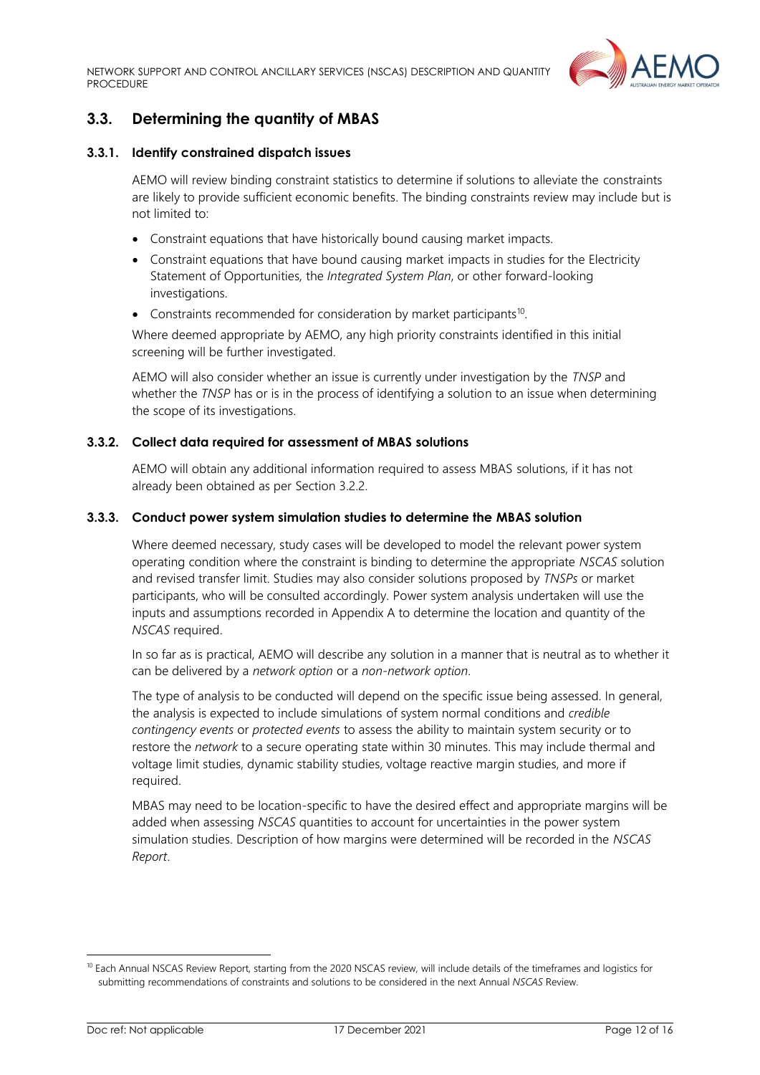

# <span id="page-11-0"></span>**3.3. Determining the quantity of MBAS**

#### **3.3.1. Identify constrained dispatch issues**

AEMO will review binding constraint statistics to determine if solutions to alleviate the constraints are likely to provide sufficient economic benefits. The binding constraints review may include but is not limited to:

- Constraint equations that have historically bound causing market impacts.
- Constraint equations that have bound causing market impacts in studies for the Electricity Statement of Opportunities*,* the *Integrated System Plan*, or other forward-looking investigations.
- Constraints recommended for consideration by market participants<sup>10</sup>.

Where deemed appropriate by AEMO, any high priority constraints identified in this initial screening will be further investigated.

AEMO will also consider whether an issue is currently under investigation by the *TNSP* and whether the *TNSP* has or is in the process of identifying a solution to an issue when determining the scope of its investigations.

#### **3.3.2. Collect data required for assessment of MBAS solutions**

AEMO will obtain any additional information required to assess MBAS solutions, if it has not already been obtained as per Sectio[n 3.2.2.](#page-9-1)

#### **3.3.3. Conduct power system simulation studies to determine the MBAS solution**

Where deemed necessary, study cases will be developed to model the relevant power system operating condition where the constraint is binding to determine the appropriate *NSCAS* solution and revised transfer limit. Studies may also consider solutions proposed by *TNSPs* or market participants, who will be consulted accordingly. Power system analysis undertaken will use the inputs and assumptions recorded in Appendix A to determine the location and quantity of the *NSCAS* required.

In so far as is practical, AEMO will describe any solution in a manner that is neutral as to whether it can be delivered by a *network option* or a *non-network option*.

The type of analysis to be conducted will depend on the specific issue being assessed. In general, the analysis is expected to include simulations of system normal conditions and *credible contingency events* or *protected events* to assess the ability to maintain system security or to restore the *network* to a secure operating state within 30 minutes. This may include thermal and voltage limit studies, dynamic stability studies, voltage reactive margin studies, and more if required.

MBAS may need to be location-specific to have the desired effect and appropriate margins will be added when assessing *NSCAS* quantities to account for uncertainties in the power system simulation studies. Description of how margins were determined will be recorded in the *NSCAS Report*.

<sup>&</sup>lt;sup>10</sup> Each Annual NSCAS Review Report, starting from the 2020 NSCAS review, will include details of the timeframes and logistics for submitting recommendations of constraints and solutions to be considered in the next Annual *NSCAS* Review.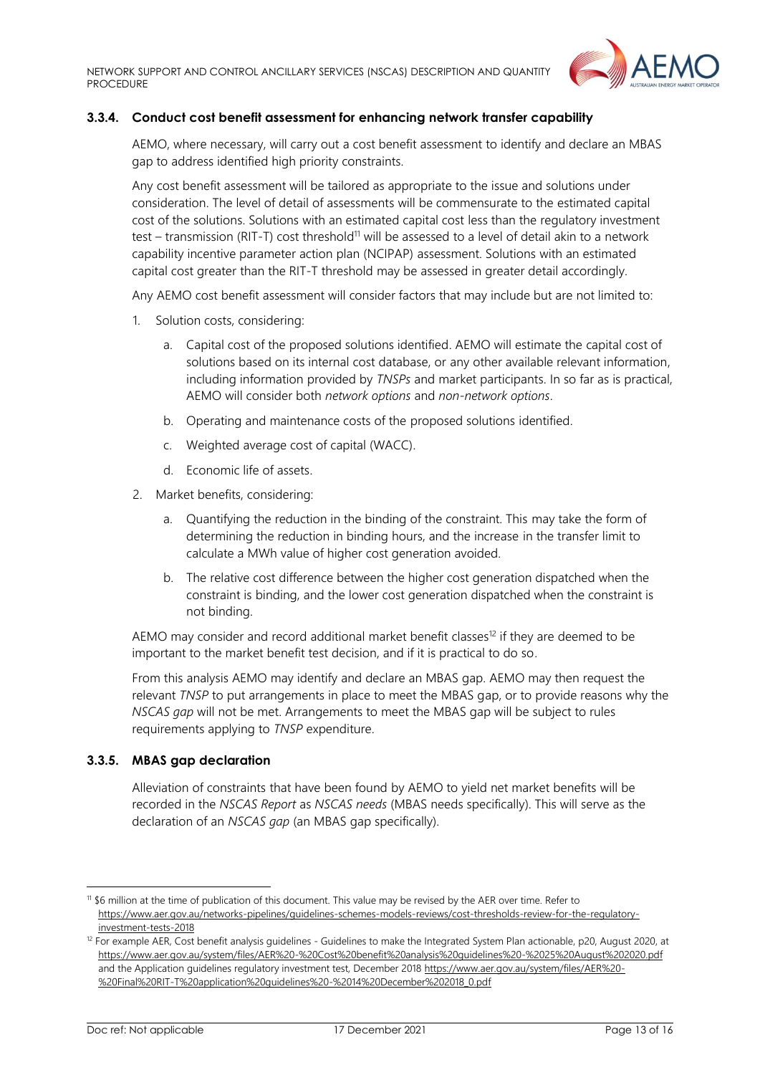

#### **3.3.4. Conduct cost benefit assessment for enhancing network transfer capability**

AEMO, where necessary, will carry out a cost benefit assessment to identify and declare an MBAS gap to address identified high priority constraints.

Any cost benefit assessment will be tailored as appropriate to the issue and solutions under consideration. The level of detail of assessments will be commensurate to the estimated capital cost of the solutions. Solutions with an estimated capital cost less than the regulatory investment test – transmission (RIT-T) cost threshold<sup>11</sup> will be assessed to a level of detail akin to a network capability incentive parameter action plan (NCIPAP) assessment. Solutions with an estimated capital cost greater than the RIT-T threshold may be assessed in greater detail accordingly.

Any AEMO cost benefit assessment will consider factors that may include but are not limited to:

- 1. Solution costs, considering:
	- a. Capital cost of the proposed solutions identified. AEMO will estimate the capital cost of solutions based on its internal cost database, or any other available relevant information, including information provided by *TNSPs* and market participants. In so far as is practical, AEMO will consider both *network options* and *non-network options*.
	- b. Operating and maintenance costs of the proposed solutions identified.
	- c. Weighted average cost of capital (WACC).
	- d. Economic life of assets.
- 2. Market benefits, considering:
	- a. Quantifying the reduction in the binding of the constraint. This may take the form of determining the reduction in binding hours, and the increase in the transfer limit to calculate a MWh value of higher cost generation avoided.
	- b. The relative cost difference between the higher cost generation dispatched when the constraint is binding, and the lower cost generation dispatched when the constraint is not binding.

AEMO may consider and record additional market benefit classes<sup>12</sup> if they are deemed to be important to the market benefit test decision, and if it is practical to do so.

From this analysis AEMO may identify and declare an MBAS gap. AEMO may then request the relevant *TNSP* to put arrangements in place to meet the MBAS gap, or to provide reasons why the *NSCAS gap* will not be met. Arrangements to meet the MBAS gap will be subject to rules requirements applying to *TNSP* expenditure.

#### **3.3.5. MBAS gap declaration**

Alleviation of constraints that have been found by AEMO to yield net market benefits will be recorded in the *NSCAS Report* as *NSCAS needs* (MBAS needs specifically). This will serve as the declaration of an *NSCAS gap* (an MBAS gap specifically).

<sup>11</sup> \$6 million at the time of publication of this document. This value may be revised by the AER over time. Refer to [https://www.aer.gov.au/networks-pipelines/guidelines-schemes-models-reviews/cost-thresholds-review-for-the-regulatory](https://www.aer.gov.au/networks-pipelines/guidelines-schemes-models-reviews/cost-thresholds-review-for-the-regulatory-investment-tests-2018)[investment-tests-2018](https://www.aer.gov.au/networks-pipelines/guidelines-schemes-models-reviews/cost-thresholds-review-for-the-regulatory-investment-tests-2018)

<sup>&</sup>lt;sup>12</sup> For example AER, Cost benefit analysis guidelines - Guidelines to make the Integrated System Plan actionable, p20, August 2020, at <https://www.aer.gov.au/system/files/AER%20-%20Cost%20benefit%20analysis%20guidelines%20-%2025%20August%202020.pdf> and the Application guidelines regulatory investment test, December 201[8 https://www.aer.gov.au/system/files/AER%20-](https://www.aer.gov.au/system/files/AER%20-%20Final%20RIT-T%20application%20guidelines%20-%2014%20December%202018_0.pdf) [%20Final%20RIT-T%20application%20guidelines%20-%2014%20December%202018\\_0.pdf](https://www.aer.gov.au/system/files/AER%20-%20Final%20RIT-T%20application%20guidelines%20-%2014%20December%202018_0.pdf)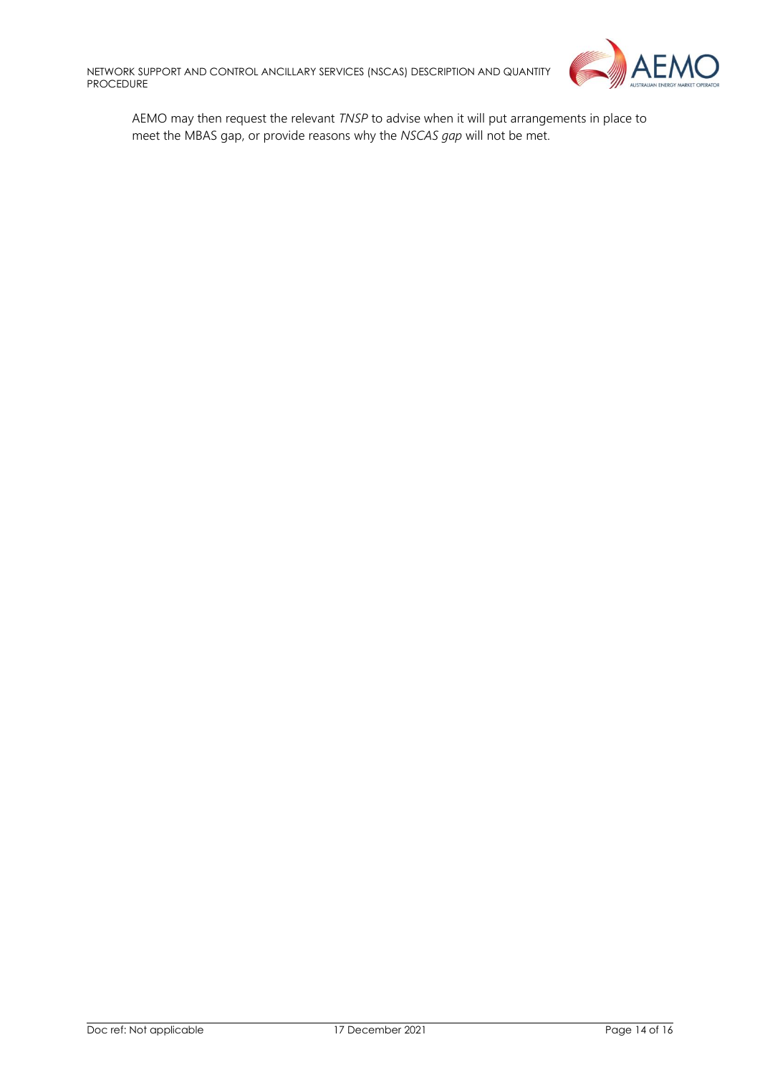

AEMO may then request the relevant *TNSP* to advise when it will put arrangements in place to meet the MBAS gap, or provide reasons why the *NSCAS gap* will not be met.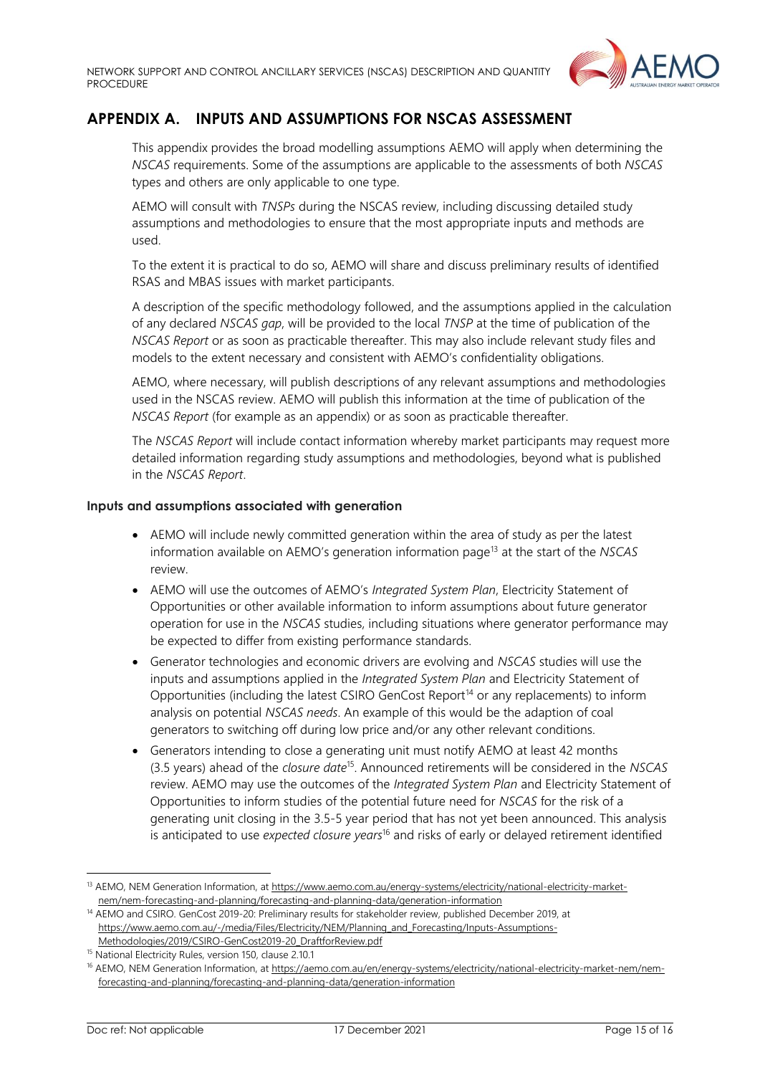

# <span id="page-14-0"></span>**APPENDIX A. INPUTS AND ASSUMPTIONS FOR NSCAS ASSESSMENT**

This appendix provides the broad modelling assumptions AEMO will apply when determining the *NSCAS* requirements. Some of the assumptions are applicable to the assessments of both *NSCAS* types and others are only applicable to one type.

AEMO will consult with *TNSPs* during the NSCAS review, including discussing detailed study assumptions and methodologies to ensure that the most appropriate inputs and methods are used.

To the extent it is practical to do so, AEMO will share and discuss preliminary results of identified RSAS and MBAS issues with market participants.

A description of the specific methodology followed, and the assumptions applied in the calculation of any declared *NSCAS gap*, will be provided to the local *TNSP* at the time of publication of the *NSCAS Report* or as soon as practicable thereafter. This may also include relevant study files and models to the extent necessary and consistent with AEMO's confidentiality obligations.

AEMO, where necessary, will publish descriptions of any relevant assumptions and methodologies used in the NSCAS review. AEMO will publish this information at the time of publication of the *NSCAS Report* (for example as an appendix) or as soon as practicable thereafter.

The *NSCAS Report* will include contact information whereby market participants may request more detailed information regarding study assumptions and methodologies, beyond what is published in the *NSCAS Report*.

#### **Inputs and assumptions associated with generation**

- AEMO will include newly committed generation within the area of study as per the latest information available on AEMO's generation information page<sup>13</sup> at the start of the *NSCAS* review.
- AEMO will use the outcomes of AEMO's *Integrated System Plan*, Electricity Statement of Opportunities or other available information to inform assumptions about future generator operation for use in the *NSCAS* studies, including situations where generator performance may be expected to differ from existing performance standards.
- Generator technologies and economic drivers are evolving and *NSCAS* studies will use the inputs and assumptions applied in the *Integrated System Plan* and Electricity Statement of Opportunities (including the latest CSIRO GenCost Report<sup>14</sup> or any replacements) to inform analysis on potential *NSCAS needs*. An example of this would be the adaption of coal generators to switching off during low price and/or any other relevant conditions.
- Generators intending to close a generating unit must notify AEMO at least 42 months (3.5 years) ahead of the *closure date*<sup>15</sup> . Announced retirements will be considered in the *NSCAS* review. AEMO may use the outcomes of the *Integrated System Plan* and Electricity Statement of Opportunities to inform studies of the potential future need for *NSCAS* for the risk of a generating unit closing in the 3.5-5 year period that has not yet been announced. This analysis is anticipated to use *expected closure years*<sup>16</sup> and risks of early or delayed retirement identified

<sup>&</sup>lt;sup>13</sup> AEMO, NEM Generation Information, at [https://www.aemo.com.au/energy-systems/electricity/national-electricity-market](https://www.aemo.com.au/energy-systems/electricity/national-electricity-market-nem/nem-forecasting-and-planning/forecasting-and-planning-data/generation-information)[nem/nem-forecasting-and-planning/forecasting-and-planning-data/generation-information](https://www.aemo.com.au/energy-systems/electricity/national-electricity-market-nem/nem-forecasting-and-planning/forecasting-and-planning-data/generation-information)

<sup>14</sup> AEMO and CSIRO. GenCost 2019-20: Preliminary results for stakeholder review, published December 2019, at [https://www.aemo.com.au/-/media/Files/Electricity/NEM/Planning\\_and\\_Forecasting/Inputs-Assumptions-](https://www.aemo.com.au/-/media/Files/Electricity/NEM/Planning_and_Forecasting/Inputs-Assumptions-Methodologies/2019/CSIRO-GenCost2019-20_DraftforReview.pdf)[Methodologies/2019/CSIRO-GenCost2019-20\\_DraftforReview.pdf](https://www.aemo.com.au/-/media/Files/Electricity/NEM/Planning_and_Forecasting/Inputs-Assumptions-Methodologies/2019/CSIRO-GenCost2019-20_DraftforReview.pdf)

<sup>&</sup>lt;sup>15</sup> National Electricity Rules, version 150, clause 2.10.1

<sup>&</sup>lt;sup>16</sup> AEMO, NEM Generation Information, at [https://aemo.com.au/en/energy-systems/electricity/national-electricity-market-nem/nem](https://aemo.com.au/en/energy-systems/electricity/national-electricity-market-nem/nem-forecasting-and-planning/forecasting-and-planning-data/generation-information)[forecasting-and-planning/forecasting-and-planning-data/generation-information](https://aemo.com.au/en/energy-systems/electricity/national-electricity-market-nem/nem-forecasting-and-planning/forecasting-and-planning-data/generation-information)